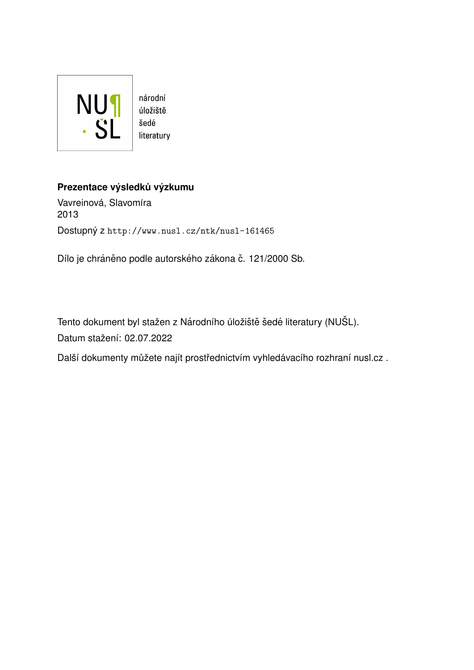

# Prezentace výsledků výzkumu

Vavreinová, Slavomíra 2013 Dostupný z <http://www.nusl.cz/ntk/nusl-161465>

Dílo je chráněno podle autorského zákona č. 121/2000 Sb.

Tento dokument byl stažen z Národního úložiště šedé literatury (NUŠL). Datum stažení: 02.07.2022

Další dokumenty můžete najít prostřednictvím vyhledávacího rozhraní [nusl.cz](http://www.nusl.cz) .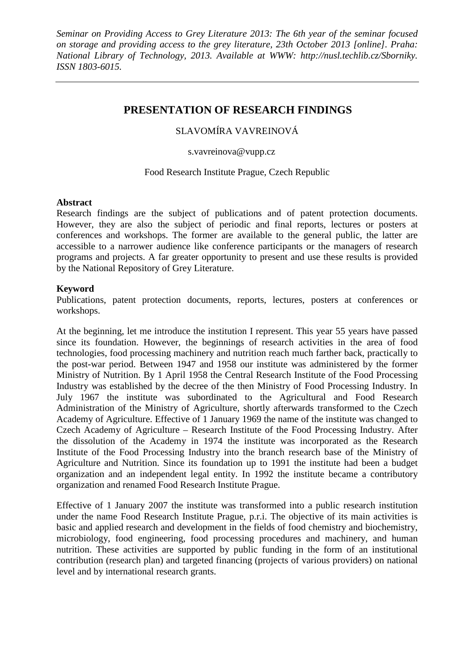## **PRESENTATION OF RESEARCH FINDINGS**

SLAVOMÍRA VAVREINOVÁ

s.vavreinova@vupp.cz

Food Research Institute Prague, Czech Republic

#### **Abstract**

Research findings are the subject of publications and of patent protection documents. However, they are also the subject of periodic and final reports, lectures or posters at conferences and workshops. The former are available to the general public, the latter are accessible to a narrower audience like conference participants or the managers of research programs and projects. A far greater opportunity to present and use these results is provided by the National Repository of Grey Literature.

#### **Keyword**

Publications, patent protection documents, reports, lectures, posters at conferences or workshops.

At the beginning, let me introduce the institution I represent. This year 55 years have passed since its foundation. However, the beginnings of research activities in the area of food technologies, food processing machinery and nutrition reach much farther back, practically to the post-war period. Between 1947 and 1958 our institute was administered by the former Ministry of Nutrition. By 1 April 1958 the Central Research Institute of the Food Processing Industry was established by the decree of the then Ministry of Food Processing Industry. In July 1967 the institute was subordinated to the Agricultural and Food Research Administration of the Ministry of Agriculture, shortly afterwards transformed to the Czech Academy of Agriculture. Effective of 1 January 1969 the name of the institute was changed to Czech Academy of Agriculture – Research Institute of the Food Processing Industry. After the dissolution of the Academy in 1974 the institute was incorporated as the Research Institute of the Food Processing Industry into the branch research base of the Ministry of Agriculture and Nutrition. Since its foundation up to 1991 the institute had been a budget organization and an independent legal entity. In 1992 the institute became a contributory organization and renamed Food Research Institute Prague.

Effective of 1 January 2007 the institute was transformed into a public research institution under the name Food Research Institute Prague, p.r.i. The objective of its main activities is basic and applied research and development in the fields of food chemistry and biochemistry, microbiology, food engineering, food processing procedures and machinery, and human nutrition. These activities are supported by public funding in the form of an institutional contribution (research plan) and targeted financing (projects of various providers) on national level and by international research grants.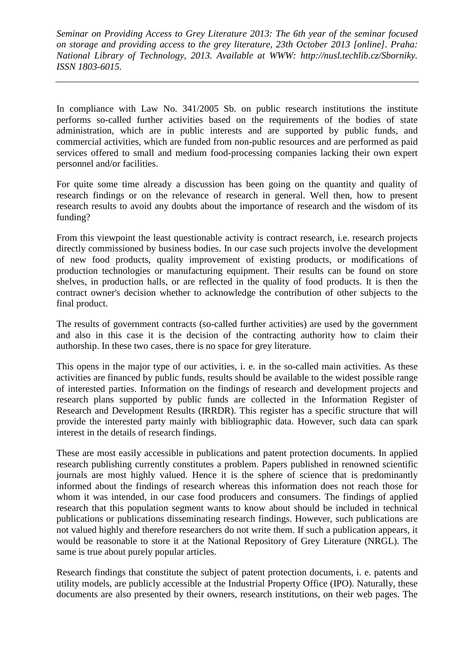In compliance with Law No. 341/2005 Sb. on public research institutions the institute performs so-called further activities based on the requirements of the bodies of state administration, which are in public interests and are supported by public funds, and commercial activities, which are funded from non-public resources and are performed as paid services offered to small and medium food-processing companies lacking their own expert personnel and/or facilities.

For quite some time already a discussion has been going on the quantity and quality of research findings or on the relevance of research in general. Well then, how to present research results to avoid any doubts about the importance of research and the wisdom of its funding?

From this viewpoint the least questionable activity is contract research, i.e. research projects directly commissioned by business bodies. In our case such projects involve the development of new food products, quality improvement of existing products, or modifications of production technologies or manufacturing equipment. Their results can be found on store shelves, in production halls, or are reflected in the quality of food products. It is then the contract owner's decision whether to acknowledge the contribution of other subjects to the final product.

The results of government contracts (so-called further activities) are used by the government and also in this case it is the decision of the contracting authority how to claim their authorship. In these two cases, there is no space for grey literature.

This opens in the major type of our activities, i. e. in the so-called main activities. As these activities are financed by public funds, results should be available to the widest possible range of interested parties. Information on the findings of research and development projects and research plans supported by public funds are collected in the Information Register of Research and Development Results (IRRDR). This register has a specific structure that will provide the interested party mainly with bibliographic data. However, such data can spark interest in the details of research findings.

These are most easily accessible in publications and patent protection documents. In applied research publishing currently constitutes a problem. Papers published in renowned scientific journals are most highly valued. Hence it is the sphere of science that is predominantly informed about the findings of research whereas this information does not reach those for whom it was intended, in our case food producers and consumers. The findings of applied research that this population segment wants to know about should be included in technical publications or publications disseminating research findings. However, such publications are not valued highly and therefore researchers do not write them. If such a publication appears, it would be reasonable to store it at the National Repository of Grey Literature (NRGL). The same is true about purely popular articles.

Research findings that constitute the subject of patent protection documents, i. e. patents and utility models, are publicly accessible at the Industrial Property Office (IPO). Naturally, these documents are also presented by their owners, research institutions, on their web pages. The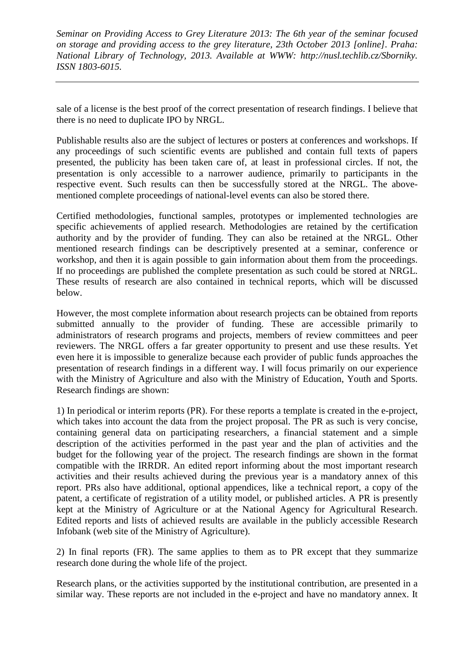sale of a license is the best proof of the correct presentation of research findings. I believe that there is no need to duplicate IPO by NRGL.

Publishable results also are the subject of lectures or posters at conferences and workshops. If any proceedings of such scientific events are published and contain full texts of papers presented, the publicity has been taken care of, at least in professional circles. If not, the presentation is only accessible to a narrower audience, primarily to participants in the respective event. Such results can then be successfully stored at the NRGL. The abovementioned complete proceedings of national-level events can also be stored there.

Certified methodologies, functional samples, prototypes or implemented technologies are specific achievements of applied research. Methodologies are retained by the certification authority and by the provider of funding. They can also be retained at the NRGL. Other mentioned research findings can be descriptively presented at a seminar, conference or workshop, and then it is again possible to gain information about them from the proceedings. If no proceedings are published the complete presentation as such could be stored at NRGL. These results of research are also contained in technical reports, which will be discussed below.

However, the most complete information about research projects can be obtained from reports submitted annually to the provider of funding. These are accessible primarily to administrators of research programs and projects, members of review committees and peer reviewers. The NRGL offers a far greater opportunity to present and use these results. Yet even here it is impossible to generalize because each provider of public funds approaches the presentation of research findings in a different way. I will focus primarily on our experience with the Ministry of Agriculture and also with the Ministry of Education, Youth and Sports. Research findings are shown:

1) In periodical or interim reports (PR). For these reports a template is created in the e-project, which takes into account the data from the project proposal. The PR as such is very concise, containing general data on participating researchers, a financial statement and a simple description of the activities performed in the past year and the plan of activities and the budget for the following year of the project. The research findings are shown in the format compatible with the IRRDR. An edited report informing about the most important research activities and their results achieved during the previous year is a mandatory annex of this report. PRs also have additional, optional appendices, like a technical report, a copy of the patent, a certificate of registration of a utility model, or published articles. A PR is presently kept at the Ministry of Agriculture or at the National Agency for Agricultural Research. Edited reports and lists of achieved results are available in the publicly accessible Research Infobank (web site of the Ministry of Agriculture).

2) In final reports (FR). The same applies to them as to PR except that they summarize research done during the whole life of the project.

Research plans, or the activities supported by the institutional contribution, are presented in a similar way. These reports are not included in the e-project and have no mandatory annex. It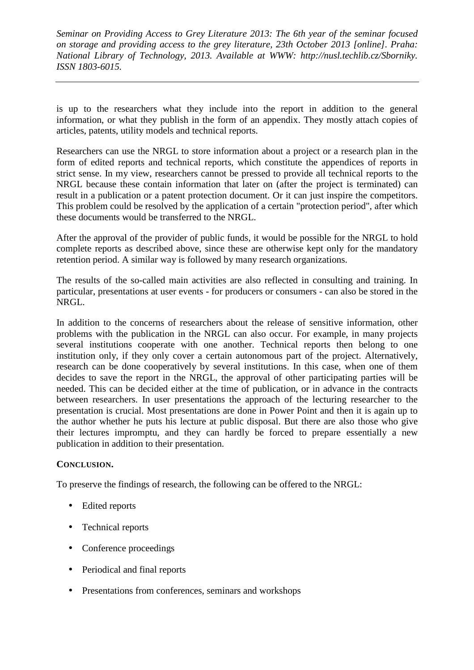is up to the researchers what they include into the report in addition to the general information, or what they publish in the form of an appendix. They mostly attach copies of articles, patents, utility models and technical reports.

Researchers can use the NRGL to store information about a project or a research plan in the form of edited reports and technical reports, which constitute the appendices of reports in strict sense. In my view, researchers cannot be pressed to provide all technical reports to the NRGL because these contain information that later on (after the project is terminated) can result in a publication or a patent protection document. Or it can just inspire the competitors. This problem could be resolved by the application of a certain "protection period", after which these documents would be transferred to the NRGL.

After the approval of the provider of public funds, it would be possible for the NRGL to hold complete reports as described above, since these are otherwise kept only for the mandatory retention period. A similar way is followed by many research organizations.

The results of the so-called main activities are also reflected in consulting and training. In particular, presentations at user events - for producers or consumers - can also be stored in the NRGL.

In addition to the concerns of researchers about the release of sensitive information, other problems with the publication in the NRGL can also occur. For example, in many projects several institutions cooperate with one another. Technical reports then belong to one institution only, if they only cover a certain autonomous part of the project. Alternatively, research can be done cooperatively by several institutions. In this case, when one of them decides to save the report in the NRGL, the approval of other participating parties will be needed. This can be decided either at the time of publication, or in advance in the contracts between researchers. In user presentations the approach of the lecturing researcher to the presentation is crucial. Most presentations are done in Power Point and then it is again up to the author whether he puts his lecture at public disposal. But there are also those who give their lectures impromptu, and they can hardly be forced to prepare essentially a new publication in addition to their presentation.

### **CONCLUSION.**

To preserve the findings of research, the following can be offered to the NRGL:

- Edited reports
- Technical reports
- Conference proceedings
- Periodical and final reports
- Presentations from conferences, seminars and workshops